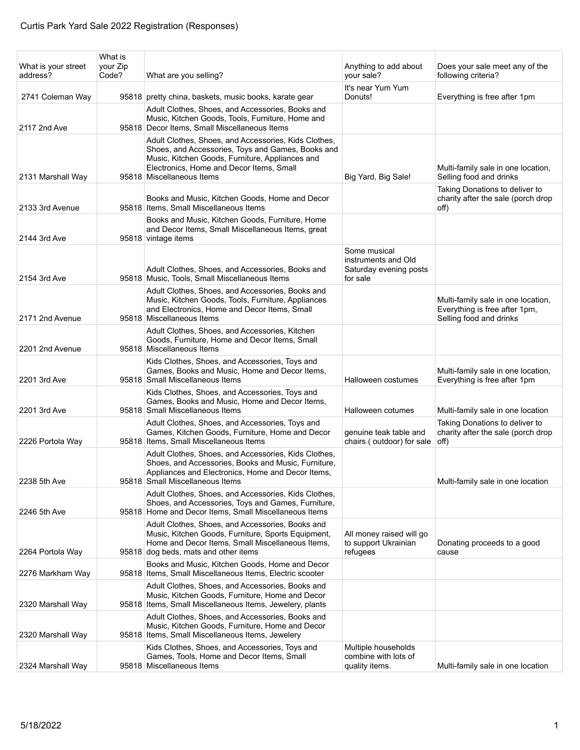| What is your street<br>address? | What is<br>your Zip<br>Code? | What are you selling?                                                                                                                                                                                                                 | Anything to add about<br>your sale?                                       | Does your sale meet any of the<br>following criteria?                                          |
|---------------------------------|------------------------------|---------------------------------------------------------------------------------------------------------------------------------------------------------------------------------------------------------------------------------------|---------------------------------------------------------------------------|------------------------------------------------------------------------------------------------|
| 2741 Coleman Way                |                              | 95818 pretty china, baskets, music books, karate gear                                                                                                                                                                                 | It's near Yum Yum<br>Donuts!                                              | Everything is free after 1pm                                                                   |
| 2117 2nd Ave                    |                              | Adult Clothes, Shoes, and Accessories, Books and<br>Music, Kitchen Goods, Tools, Furniture, Home and<br>95818 Decor Items, Small Miscellaneous Items                                                                                  |                                                                           |                                                                                                |
| 2131 Marshall Way               |                              | Adult Clothes, Shoes, and Accessories, Kids Clothes,<br>Shoes, and Accessories, Toys and Games, Books and<br>Music, Kitchen Goods, Furniture, Appliances and<br>Electronics, Home and Decor Items, Small<br>95818 Miscellaneous Items | Big Yard, Big Sale!                                                       | Multi-family sale in one location,<br>Selling food and drinks                                  |
| 2133 3rd Avenue                 |                              | Books and Music, Kitchen Goods, Home and Decor<br>95818 Items, Small Miscellaneous Items                                                                                                                                              |                                                                           | Taking Donations to deliver to<br>charity after the sale (porch drop<br>off)                   |
| 2144 3rd Ave                    |                              | Books and Music, Kitchen Goods, Furniture, Home<br>and Decor Items, Small Miscellaneous Items, great<br>95818 vintage items                                                                                                           |                                                                           |                                                                                                |
| 2154 3rd Ave                    |                              | Adult Clothes, Shoes, and Accessories, Books and<br>95818 Music, Tools, Small Miscellaneous Items                                                                                                                                     | Some musical<br>instruments and Old<br>Saturday evening posts<br>for sale |                                                                                                |
| 2171 2nd Avenue                 |                              | Adult Clothes, Shoes, and Accessories, Books and<br>Music, Kitchen Goods, Tools, Furniture, Appliances<br>and Electronics, Home and Decor Items, Small<br>95818 Miscellaneous Items                                                   |                                                                           | Multi-family sale in one location,<br>Everything is free after 1pm,<br>Selling food and drinks |
| 2201 2nd Avenue                 |                              | Adult Clothes, Shoes, and Accessories, Kitchen<br>Goods, Furniture, Home and Decor Items, Small<br>95818 Miscellaneous Items                                                                                                          |                                                                           |                                                                                                |
| 2201 3rd Ave                    |                              | Kids Clothes, Shoes, and Accessories, Toys and<br>Games, Books and Music, Home and Decor Items,<br>95818 Small Miscellaneous Items                                                                                                    | Halloween costumes                                                        | Multi-family sale in one location,<br>Everything is free after 1pm                             |
| 2201 3rd Ave                    |                              | Kids Clothes, Shoes, and Accessories, Toys and<br>Games, Books and Music, Home and Decor Items,<br>95818 Small Miscellaneous Items                                                                                                    | Halloween cotumes                                                         | Multi-family sale in one location                                                              |
| 2226 Portola Way                |                              | Adult Clothes, Shoes, and Accessories, Toys and<br>Games, Kitchen Goods, Furniture, Home and Decor<br>95818 Items, Small Miscellaneous Items                                                                                          | genuine teak table and<br>chairs (outdoor) for sale                       | Taking Donations to deliver to<br>charity after the sale (porch drop<br>off)                   |
| 2238 5th Ave                    |                              | Adult Clothes, Shoes, and Accessories, Kids Clothes,<br>Shoes, and Accessories, Books and Music, Furniture,<br>Appliances and Electronics, Home and Decor Items,<br>95818 Small Miscellaneous Items                                   |                                                                           | Multi-family sale in one location                                                              |
| 2246 5th Ave                    |                              | Adult Clothes, Shoes, and Accessories, Kids Clothes,<br>Shoes, and Accessories, Toys and Games, Furniture,<br>95818 Home and Decor Items, Small Miscellaneous Items                                                                   |                                                                           |                                                                                                |
| 2264 Portola Way                |                              | Adult Clothes, Shoes, and Accessories, Books and<br>Music, Kitchen Goods, Furniture, Sports Equipment,<br>Home and Decor Items, Small Miscellaneous Items,<br>95818 dog beds, mats and other items                                    | All money raised will go<br>to support Ukrainian<br>refugees              | Donating proceeds to a good<br>cause                                                           |
| 2276 Markham Way                |                              | Books and Music, Kitchen Goods, Home and Decor<br>95818 Items, Small Miscellaneous Items, Electric scooter                                                                                                                            |                                                                           |                                                                                                |
| 2320 Marshall Way               |                              | Adult Clothes, Shoes, and Accessories, Books and<br>Music, Kitchen Goods, Furniture, Home and Decor<br>95818 Items, Small Miscellaneous Items, Jewelery, plants                                                                       |                                                                           |                                                                                                |
| 2320 Marshall Way               |                              | Adult Clothes, Shoes, and Accessories, Books and<br>Music, Kitchen Goods, Furniture, Home and Decor<br>95818 Items, Small Miscellaneous Items, Jewelery                                                                               |                                                                           |                                                                                                |
| 2324 Marshall Way               |                              | Kids Clothes, Shoes, and Accessories, Toys and<br>Games, Tools, Home and Decor Items, Small<br>95818 Miscellaneous Items                                                                                                              | Multiple households<br>combine with lots of<br>quality items.             | Multi-family sale in one location                                                              |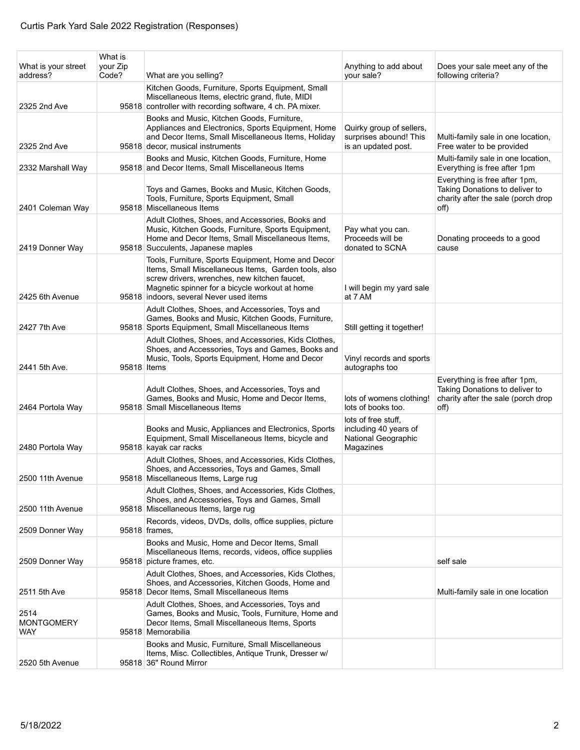| What is your street<br>address?  | What is<br>your Zip<br>Code? | What are you selling?                                                                                                                                                                                                                                   | Anything to add about<br>your sale?                                              | Does your sale meet any of the<br>following criteria?                                                         |
|----------------------------------|------------------------------|---------------------------------------------------------------------------------------------------------------------------------------------------------------------------------------------------------------------------------------------------------|----------------------------------------------------------------------------------|---------------------------------------------------------------------------------------------------------------|
| 2325 2nd Ave                     |                              | Kitchen Goods, Furniture, Sports Equipment, Small<br>Miscellaneous Items, electric grand, flute, MIDI<br>95818 controller with recording software, 4 ch. PA mixer.                                                                                      |                                                                                  |                                                                                                               |
| 2325 2nd Ave                     |                              | Books and Music, Kitchen Goods, Furniture,<br>Appliances and Electronics, Sports Equipment, Home<br>and Decor Items, Small Miscellaneous Items, Holiday<br>95818 decor, musical instruments                                                             | Quirky group of sellers,<br>surprises abound! This                               | Multi-family sale in one location,<br>Free water to be provided                                               |
|                                  |                              | Books and Music, Kitchen Goods, Furniture, Home                                                                                                                                                                                                         | is an updated post.                                                              | Multi-family sale in one location,                                                                            |
| 2332 Marshall Way                |                              | 95818 and Decor Items, Small Miscellaneous Items                                                                                                                                                                                                        |                                                                                  | Everything is free after 1pm                                                                                  |
| 2401 Coleman Way                 |                              | Toys and Games, Books and Music, Kitchen Goods,<br>Tools, Furniture, Sports Equipment, Small<br>95818 Miscellaneous Items                                                                                                                               |                                                                                  | Everything is free after 1pm,<br>Taking Donations to deliver to<br>charity after the sale (porch drop<br>off) |
| 2419 Donner Way                  |                              | Adult Clothes, Shoes, and Accessories, Books and<br>Music, Kitchen Goods, Furniture, Sports Equipment,<br>Home and Decor Items, Small Miscellaneous Items,<br>95818 Succulents, Japanese maples                                                         | Pay what you can.<br>Proceeds will be<br>donated to SCNA                         | Donating proceeds to a good<br>cause                                                                          |
| 2425 6th Avenue                  |                              | Tools, Furniture, Sports Equipment, Home and Decor<br>Items, Small Miscellaneous Items, Garden tools, also<br>screw drivers, wrenches, new kitchen faucet,<br>Magnetic spinner for a bicycle workout at home<br>95818 indoors, several Never used items | I will begin my yard sale<br>at 7 AM                                             |                                                                                                               |
| 2427 7th Ave                     |                              | Adult Clothes, Shoes, and Accessories, Toys and<br>Games, Books and Music, Kitchen Goods, Furniture,<br>95818 Sports Equipment, Small Miscellaneous Items                                                                                               | Still getting it together!                                                       |                                                                                                               |
| 2441 5th Ave.                    | 95818 Items                  | Adult Clothes, Shoes, and Accessories, Kids Clothes,<br>Shoes, and Accessories, Toys and Games, Books and<br>Music, Tools, Sports Equipment, Home and Decor                                                                                             | Vinyl records and sports<br>autographs too                                       |                                                                                                               |
| 2464 Portola Way                 |                              | Adult Clothes, Shoes, and Accessories, Toys and<br>Games, Books and Music, Home and Decor Items,<br>95818 Small Miscellaneous Items                                                                                                                     | lots of womens clothing!<br>lots of books too.                                   | Everything is free after 1pm,<br>Taking Donations to deliver to<br>charity after the sale (porch drop<br>off) |
| 2480 Portola Way                 |                              | Books and Music, Appliances and Electronics, Sports<br>Equipment, Small Miscellaneous Items, bicycle and<br>95818 kayak car racks                                                                                                                       | lots of free stuff.<br>including 40 years of<br>National Geographic<br>Magazines |                                                                                                               |
| 2500 11th Avenue                 |                              | Adult Clothes, Shoes, and Accessories, Kids Clothes,<br>Shoes, and Accessories, Toys and Games, Small<br>95818 Miscellaneous Items, Large rug                                                                                                           |                                                                                  |                                                                                                               |
| 2500 11th Avenue                 |                              | Adult Clothes, Shoes, and Accessories, Kids Clothes,<br>Shoes, and Accessories, Toys and Games, Small<br>95818 Miscellaneous Items, large rug                                                                                                           |                                                                                  |                                                                                                               |
| 2509 Donner Way                  |                              | Records, videos, DVDs, dolls, office supplies, picture<br>95818 frames,                                                                                                                                                                                 |                                                                                  |                                                                                                               |
| 2509 Donner Way                  |                              | Books and Music, Home and Decor Items, Small<br>Miscellaneous Items, records, videos, office supplies<br>95818 picture frames, etc.                                                                                                                     |                                                                                  | self sale                                                                                                     |
| 2511 5th Ave                     |                              | Adult Clothes, Shoes, and Accessories, Kids Clothes,<br>Shoes, and Accessories, Kitchen Goods, Home and<br>95818 Decor Items, Small Miscellaneous Items                                                                                                 |                                                                                  | Multi-family sale in one location                                                                             |
| 2514<br><b>MONTGOMERY</b><br>WAY |                              | Adult Clothes, Shoes, and Accessories, Toys and<br>Games, Books and Music, Tools, Furniture, Home and<br>Decor Items, Small Miscellaneous Items, Sports<br>95818 Memorabilia                                                                            |                                                                                  |                                                                                                               |
| 2520 5th Avenue                  |                              | Books and Music, Furniture, Small Miscellaneous<br>Items, Misc. Collectibles, Antique Trunk, Dresser w/<br>95818 36" Round Mirror                                                                                                                       |                                                                                  |                                                                                                               |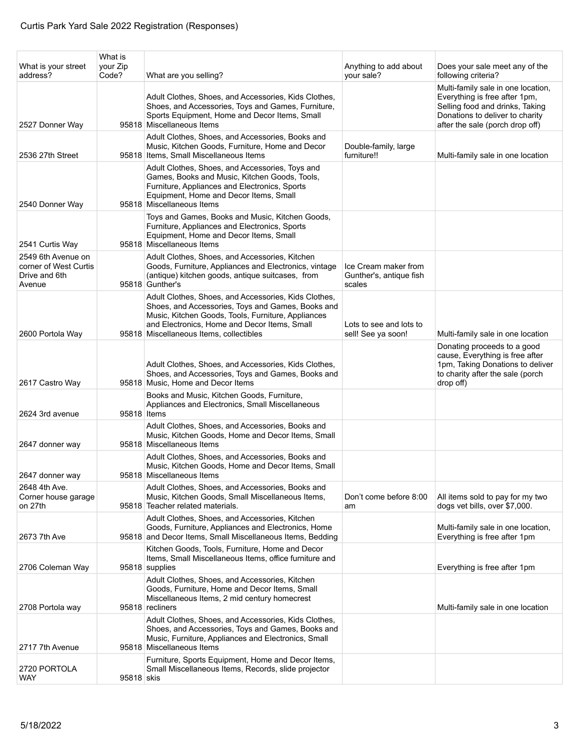| What is your street<br>address?                                        | What is<br>your Zip<br>Code? | What are you selling?                                                                                                                                                                                                                                      | Anything to add about<br>your sale?                       | Does your sale meet any of the<br>following criteria?                                                                                                                        |
|------------------------------------------------------------------------|------------------------------|------------------------------------------------------------------------------------------------------------------------------------------------------------------------------------------------------------------------------------------------------------|-----------------------------------------------------------|------------------------------------------------------------------------------------------------------------------------------------------------------------------------------|
| 2527 Donner Way                                                        |                              | Adult Clothes, Shoes, and Accessories, Kids Clothes,<br>Shoes, and Accessories, Toys and Games, Furniture,<br>Sports Equipment, Home and Decor Items, Small<br>95818 Miscellaneous Items                                                                   |                                                           | Multi-family sale in one location,<br>Everything is free after 1pm,<br>Selling food and drinks, Taking<br>Donations to deliver to charity<br>after the sale (porch drop off) |
| 2536 27th Street                                                       |                              | Adult Clothes, Shoes, and Accessories, Books and<br>Music, Kitchen Goods, Furniture, Home and Decor<br>95818 Items, Small Miscellaneous Items                                                                                                              | Double-family, large<br>furniture!!                       | Multi-family sale in one location                                                                                                                                            |
| 2540 Donner Way                                                        |                              | Adult Clothes, Shoes, and Accessories, Toys and<br>Games, Books and Music, Kitchen Goods, Tools,<br>Furniture, Appliances and Electronics, Sports<br>Equipment, Home and Decor Items, Small<br>95818 Miscellaneous Items                                   |                                                           |                                                                                                                                                                              |
| 2541 Curtis Way                                                        |                              | Toys and Games, Books and Music, Kitchen Goods,<br>Furniture, Appliances and Electronics, Sports<br>Equipment, Home and Decor Items, Small<br>95818 Miscellaneous Items                                                                                    |                                                           |                                                                                                                                                                              |
| 2549 6th Avenue on<br>corner of West Curtis<br>Drive and 6th<br>Avenue |                              | Adult Clothes, Shoes, and Accessories, Kitchen<br>Goods, Furniture, Appliances and Electronics, vintage<br>(antique) kitchen goods, antique suitcases, from<br>95818 Gunther's                                                                             | Ice Cream maker from<br>Gunther's, antique fish<br>scales |                                                                                                                                                                              |
| 2600 Portola Way                                                       |                              | Adult Clothes, Shoes, and Accessories, Kids Clothes,<br>Shoes, and Accessories, Toys and Games, Books and<br>Music, Kitchen Goods, Tools, Furniture, Appliances<br>and Electronics, Home and Decor Items, Small<br>95818 Miscellaneous Items, collectibles | Lots to see and lots to<br>sell! See ya soon!             | Multi-family sale in one location                                                                                                                                            |
| 2617 Castro Way                                                        |                              | Adult Clothes, Shoes, and Accessories, Kids Clothes,<br>Shoes, and Accessories, Toys and Games, Books and<br>95818 Music, Home and Decor Items                                                                                                             |                                                           | Donating proceeds to a good<br>cause, Everything is free after<br>1pm, Taking Donations to deliver<br>to charity after the sale (porch<br>drop off)                          |
| 2624 3rd avenue                                                        | 95818 Items                  | Books and Music, Kitchen Goods, Furniture,<br>Appliances and Electronics, Small Miscellaneous                                                                                                                                                              |                                                           |                                                                                                                                                                              |
| 2647 donner way                                                        |                              | Adult Clothes, Shoes, and Accessories, Books and<br>Music, Kitchen Goods, Home and Decor Items, Small<br>95818 Miscellaneous Items                                                                                                                         |                                                           |                                                                                                                                                                              |
| 2647 donner way                                                        |                              | Adult Clothes, Shoes, and Accessories, Books and<br>Music, Kitchen Goods, Home and Decor Items, Small<br>95818 Miscellaneous Items                                                                                                                         |                                                           |                                                                                                                                                                              |
| 2648 4th Ave.<br>Corner house garage<br>on 27th                        |                              | Adult Clothes, Shoes, and Accessories, Books and<br>Music, Kitchen Goods, Small Miscellaneous Items,<br>95818 Teacher related materials.                                                                                                                   | Don't come before 8:00<br>am                              | All items sold to pay for my two<br>dogs vet bills, over \$7,000.                                                                                                            |
| 2673 7th Ave                                                           |                              | Adult Clothes, Shoes, and Accessories, Kitchen<br>Goods, Furniture, Appliances and Electronics, Home<br>95818 and Decor Items, Small Miscellaneous Items, Bedding                                                                                          |                                                           | Multi-family sale in one location,<br>Everything is free after 1pm                                                                                                           |
| 2706 Coleman Way                                                       |                              | Kitchen Goods, Tools, Furniture, Home and Decor<br>Items, Small Miscellaneous Items, office furniture and<br>95818 supplies                                                                                                                                |                                                           | Everything is free after 1pm                                                                                                                                                 |
| 2708 Portola way                                                       |                              | Adult Clothes, Shoes, and Accessories, Kitchen<br>Goods, Furniture, Home and Decor Items, Small<br>Miscellaneous Items, 2 mid century homecrest<br>95818 recliners                                                                                         |                                                           | Multi-family sale in one location                                                                                                                                            |
| 2717 7th Avenue                                                        |                              | Adult Clothes, Shoes, and Accessories, Kids Clothes,<br>Shoes, and Accessories, Toys and Games, Books and<br>Music, Furniture, Appliances and Electronics, Small<br>95818 Miscellaneous Items                                                              |                                                           |                                                                                                                                                                              |
| 2720 PORTOLA<br>WAY                                                    | 95818 skis                   | Furniture, Sports Equipment, Home and Decor Items,<br>Small Miscellaneous Items, Records, slide projector                                                                                                                                                  |                                                           |                                                                                                                                                                              |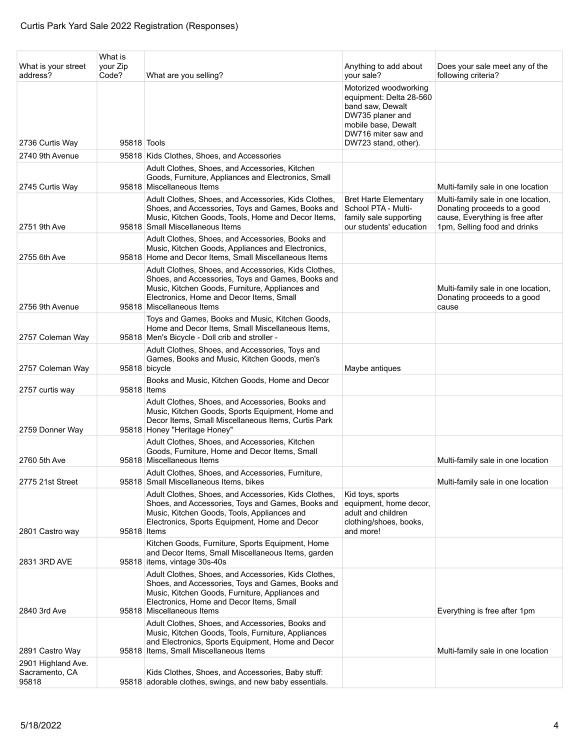| What is your street<br>address?               | What is<br>your Zip<br>Code? | What are you selling?                                                                                                                                                                                                                                                 | Anything to add about<br>your sale?                                                                                                                            | Does your sale meet any of the<br>following criteria?                                                                                |
|-----------------------------------------------|------------------------------|-----------------------------------------------------------------------------------------------------------------------------------------------------------------------------------------------------------------------------------------------------------------------|----------------------------------------------------------------------------------------------------------------------------------------------------------------|--------------------------------------------------------------------------------------------------------------------------------------|
| 2736 Curtis Way                               | 95818 Tools                  |                                                                                                                                                                                                                                                                       | Motorized woodworking<br>equipment: Delta 28-560<br>band saw, Dewalt<br>DW735 planer and<br>mobile base, Dewalt<br>DW716 miter saw and<br>DW723 stand, other). |                                                                                                                                      |
| 2740 9th Avenue                               |                              | 95818 Kids Clothes, Shoes, and Accessories                                                                                                                                                                                                                            |                                                                                                                                                                |                                                                                                                                      |
| 2745 Curtis Way                               |                              | Adult Clothes, Shoes, and Accessories, Kitchen<br>Goods, Furniture, Appliances and Electronics, Small<br>95818 Miscellaneous Items                                                                                                                                    |                                                                                                                                                                | Multi-family sale in one location                                                                                                    |
| 2751 9th Ave                                  |                              | Adult Clothes, Shoes, and Accessories, Kids Clothes,<br>Shoes, and Accessories, Toys and Games, Books and<br>Music, Kitchen Goods, Tools, Home and Decor Items,<br>95818 Small Miscellaneous Items                                                                    | <b>Bret Harte Elementary</b><br>School PTA - Multi-<br>family sale supporting<br>our students' education                                                       | Multi-family sale in one location,<br>Donating proceeds to a good<br>cause, Everything is free after<br>1pm, Selling food and drinks |
| 2755 6th Ave                                  |                              | Adult Clothes, Shoes, and Accessories, Books and<br>Music, Kitchen Goods, Appliances and Electronics,<br>95818 Home and Decor Items, Small Miscellaneous Items                                                                                                        |                                                                                                                                                                |                                                                                                                                      |
| 2756 9th Avenue                               |                              | Adult Clothes, Shoes, and Accessories, Kids Clothes,<br>Shoes, and Accessories, Toys and Games, Books and<br>Music, Kitchen Goods, Furniture, Appliances and<br>Electronics, Home and Decor Items, Small<br>95818 Miscellaneous Items                                 |                                                                                                                                                                | Multi-family sale in one location,<br>Donating proceeds to a good<br>cause                                                           |
| 2757 Coleman Way                              |                              | Toys and Games, Books and Music, Kitchen Goods,<br>Home and Decor Items, Small Miscellaneous Items,<br>95818 Men's Bicycle - Doll crib and stroller -                                                                                                                 |                                                                                                                                                                |                                                                                                                                      |
| 2757 Coleman Way                              |                              | Adult Clothes, Shoes, and Accessories, Toys and<br>Games, Books and Music, Kitchen Goods, men's<br>95818 bicycle                                                                                                                                                      | Maybe antiques                                                                                                                                                 |                                                                                                                                      |
| 2757 curtis way                               | 95818 Items                  | Books and Music, Kitchen Goods, Home and Decor                                                                                                                                                                                                                        |                                                                                                                                                                |                                                                                                                                      |
| 2759 Donner Way                               |                              | Adult Clothes, Shoes, and Accessories, Books and<br>Music, Kitchen Goods, Sports Equipment, Home and<br>Decor Items, Small Miscellaneous Items, Curtis Park<br>95818 Honey "Heritage Honey"                                                                           |                                                                                                                                                                |                                                                                                                                      |
| 2760 5th Ave                                  |                              | Adult Clothes, Shoes, and Accessories, Kitchen<br>Goods, Furniture, Home and Decor Items, Small<br>95818 Miscellaneous Items                                                                                                                                          |                                                                                                                                                                | Multi-family sale in one location                                                                                                    |
| 2775 21st Street                              |                              | Adult Clothes, Shoes, and Accessories, Furniture,<br>95818 Small Miscellaneous Items, bikes                                                                                                                                                                           |                                                                                                                                                                | Multi-family sale in one location                                                                                                    |
| 2801 Castro way                               | 95818 Items                  | Adult Clothes, Shoes, and Accessories, Kids Clothes,<br>Shoes, and Accessories, Toys and Games, Books and<br>Music, Kitchen Goods, Tools, Appliances and<br>Electronics, Sports Equipment, Home and Decor                                                             | Kid toys, sports<br>equipment, home decor,<br>adult and children<br>clothing/shoes, books,<br>and more!                                                        |                                                                                                                                      |
|                                               |                              | Kitchen Goods, Furniture, Sports Equipment, Home<br>and Decor Items, Small Miscellaneous Items, garden                                                                                                                                                                |                                                                                                                                                                |                                                                                                                                      |
| 2831 3RD AVE<br>2840 3rd Ave                  |                              | 95818 items, vintage 30s-40s<br>Adult Clothes, Shoes, and Accessories, Kids Clothes,<br>Shoes, and Accessories, Toys and Games, Books and<br>Music, Kitchen Goods, Furniture, Appliances and<br>Electronics, Home and Decor Items, Small<br>95818 Miscellaneous Items |                                                                                                                                                                | Everything is free after 1pm                                                                                                         |
| 2891 Castro Way                               |                              | Adult Clothes, Shoes, and Accessories, Books and<br>Music, Kitchen Goods, Tools, Furniture, Appliances<br>and Electronics, Sports Equipment, Home and Decor<br>95818 Items, Small Miscellaneous Items                                                                 |                                                                                                                                                                | Multi-family sale in one location                                                                                                    |
| 2901 Highland Ave.<br>Sacramento, CA<br>95818 |                              | Kids Clothes, Shoes, and Accessories, Baby stuff:<br>95818 adorable clothes, swings, and new baby essentials.                                                                                                                                                         |                                                                                                                                                                |                                                                                                                                      |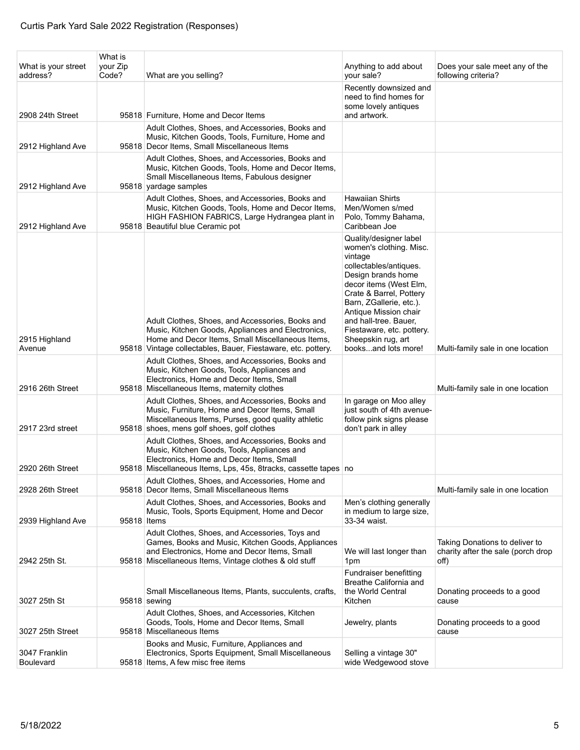| What is your street<br>address?        | What is<br>your Zip<br>Code? | What are you selling?                                                                                                                                                                                                     | Anything to add about<br>your sale?                                                                                                                                                                                                                                                                                      | Does your sale meet any of the<br>following criteria?                        |
|----------------------------------------|------------------------------|---------------------------------------------------------------------------------------------------------------------------------------------------------------------------------------------------------------------------|--------------------------------------------------------------------------------------------------------------------------------------------------------------------------------------------------------------------------------------------------------------------------------------------------------------------------|------------------------------------------------------------------------------|
| 2908 24th Street                       |                              | 95818 Furniture, Home and Decor Items                                                                                                                                                                                     | Recently downsized and<br>need to find homes for<br>some lovely antiques<br>and artwork.                                                                                                                                                                                                                                 |                                                                              |
|                                        |                              | Adult Clothes, Shoes, and Accessories, Books and<br>Music, Kitchen Goods, Tools, Furniture, Home and                                                                                                                      |                                                                                                                                                                                                                                                                                                                          |                                                                              |
| 2912 Highland Ave                      |                              | 95818 Decor Items, Small Miscellaneous Items<br>Adult Clothes, Shoes, and Accessories, Books and<br>Music, Kitchen Goods, Tools, Home and Decor Items,<br>Small Miscellaneous Items, Fabulous designer                    |                                                                                                                                                                                                                                                                                                                          |                                                                              |
| 2912 Highland Ave<br>2912 Highland Ave |                              | 95818 yardage samples<br>Adult Clothes, Shoes, and Accessories, Books and<br>Music, Kitchen Goods, Tools, Home and Decor Items,<br>HIGH FASHION FABRICS, Large Hydrangea plant in<br>95818 Beautiful blue Ceramic pot     | <b>Hawaiian Shirts</b><br>Men/Women s/med<br>Polo, Tommy Bahama,<br>Caribbean Joe                                                                                                                                                                                                                                        |                                                                              |
| 2915 Highland<br>Avenue                |                              | Adult Clothes, Shoes, and Accessories, Books and<br>Music, Kitchen Goods, Appliances and Electronics,<br>Home and Decor Items, Small Miscellaneous Items,<br>95818 Vintage collectables, Bauer, Fiestaware, etc. pottery. | Quality/designer label<br>women's clothing. Misc.<br>vintage<br>collectables/antiques.<br>Design brands home<br>decor items (West Elm.<br>Crate & Barrel, Pottery<br>Barn, ZGallerie, etc.).<br>Antique Mission chair<br>and hall-tree. Bauer,<br>Fiestaware, etc. pottery.<br>Sheepskin rug, art<br>booksand lots more! | Multi-family sale in one location                                            |
| 2916 26th Street                       |                              | Adult Clothes, Shoes, and Accessories, Books and<br>Music, Kitchen Goods, Tools, Appliances and<br>Electronics, Home and Decor Items, Small<br>95818 Miscellaneous Items, maternity clothes                               |                                                                                                                                                                                                                                                                                                                          | Multi-family sale in one location                                            |
| 2917 23rd street                       |                              | Adult Clothes, Shoes, and Accessories, Books and<br>Music, Furniture, Home and Decor Items, Small<br>Miscellaneous Items, Purses, good quality athletic<br>95818 shoes, mens golf shoes, golf clothes                     | In garage on Moo alley<br>just south of 4th avenue-<br>follow pink signs please<br>don't park in alley                                                                                                                                                                                                                   |                                                                              |
| 2920 26th Street                       |                              | Adult Clothes, Shoes, and Accessories, Books and<br>Music, Kitchen Goods, Tools, Appliances and<br>Electronics, Home and Decor Items, Small<br>95818 Miscellaneous Items, Lps, 45s, 8tracks, cassette tapes no            |                                                                                                                                                                                                                                                                                                                          |                                                                              |
| 2928 26th Street                       |                              | Adult Clothes, Shoes, and Accessories, Home and<br>95818 Decor Items, Small Miscellaneous Items                                                                                                                           |                                                                                                                                                                                                                                                                                                                          | Multi-family sale in one location                                            |
| 2939 Highland Ave                      | 95818 Items                  | Adult Clothes, Shoes, and Accessories, Books and<br>Music, Tools, Sports Equipment, Home and Decor                                                                                                                        | Men's clothing generally<br>in medium to large size.<br>33-34 waist.                                                                                                                                                                                                                                                     |                                                                              |
| 2942 25th St.                          |                              | Adult Clothes, Shoes, and Accessories, Toys and<br>Games, Books and Music, Kitchen Goods, Appliances<br>and Electronics, Home and Decor Items, Small<br>95818 Miscellaneous Items, Vintage clothes & old stuff            | We will last longer than<br>1pm                                                                                                                                                                                                                                                                                          | Taking Donations to deliver to<br>charity after the sale (porch drop<br>off) |
| 3027 25th St                           |                              | Small Miscellaneous Items, Plants, succulents, crafts,<br>95818 sewing                                                                                                                                                    | Fundraiser benefitting<br>Breathe California and<br>the World Central<br>Kitchen                                                                                                                                                                                                                                         | Donating proceeds to a good<br>cause                                         |
| 3027 25th Street                       |                              | Adult Clothes, Shoes, and Accessories, Kitchen<br>Goods, Tools, Home and Decor Items, Small<br>95818 Miscellaneous Items                                                                                                  | Jewelry, plants                                                                                                                                                                                                                                                                                                          | Donating proceeds to a good<br>cause                                         |
| 3047 Franklin<br><b>Boulevard</b>      |                              | Books and Music, Furniture, Appliances and<br>Electronics, Sports Equipment, Small Miscellaneous<br>95818 Items, A few misc free items                                                                                    | Selling a vintage 30"<br>wide Wedgewood stove                                                                                                                                                                                                                                                                            |                                                                              |